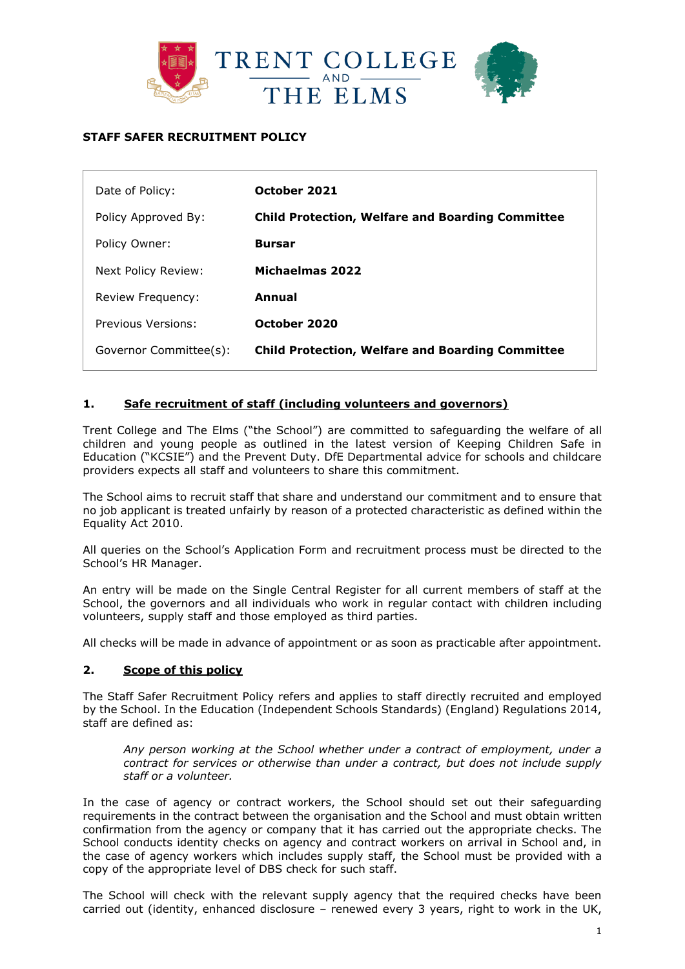

# **STAFF SAFER RECRUITMENT POLICY**

| Date of Policy:        | October 2021                                            |
|------------------------|---------------------------------------------------------|
| Policy Approved By:    | <b>Child Protection, Welfare and Boarding Committee</b> |
| Policy Owner:          | <b>Bursar</b>                                           |
| Next Policy Review:    | Michaelmas 2022                                         |
| Review Frequency:      | Annual                                                  |
| Previous Versions:     | October 2020                                            |
| Governor Committee(s): | <b>Child Protection, Welfare and Boarding Committee</b> |

### **1. Safe recruitment of staff (including volunteers and governors)**

Trent College and The Elms ("the School") are committed to safeguarding the welfare of all children and young people as outlined in the latest version of Keeping Children Safe in Education ("KCSIE") and the Prevent Duty. DfE Departmental advice for schools and childcare providers expects all staff and volunteers to share this commitment.

The School aims to recruit staff that share and understand our commitment and to ensure that no job applicant is treated unfairly by reason of a protected characteristic as defined within the Equality Act 2010.

All queries on the School's Application Form and recruitment process must be directed to the School's HR Manager.

An entry will be made on the Single Central Register for all current members of staff at the School, the governors and all individuals who work in regular contact with children including volunteers, supply staff and those employed as third parties.

All checks will be made in advance of appointment or as soon as practicable after appointment.

#### **2. Scope of this policy**

The Staff Safer Recruitment Policy refers and applies to staff directly recruited and employed by the School. In the Education (Independent Schools Standards) (England) Regulations 2014, staff are defined as:

*Any person working at the School whether under a contract of employment, under a contract for services or otherwise than under a contract, but does not include supply staff or a volunteer.*

In the case of agency or contract workers, the School should set out their safeguarding requirements in the contract between the organisation and the School and must obtain written confirmation from the agency or company that it has carried out the appropriate checks. The School conducts identity checks on agency and contract workers on arrival in School and, in the case of agency workers which includes supply staff, the School must be provided with a copy of the appropriate level of DBS check for such staff.

The School will check with the relevant supply agency that the required checks have been carried out (identity, enhanced disclosure – renewed every 3 years, right to work in the UK,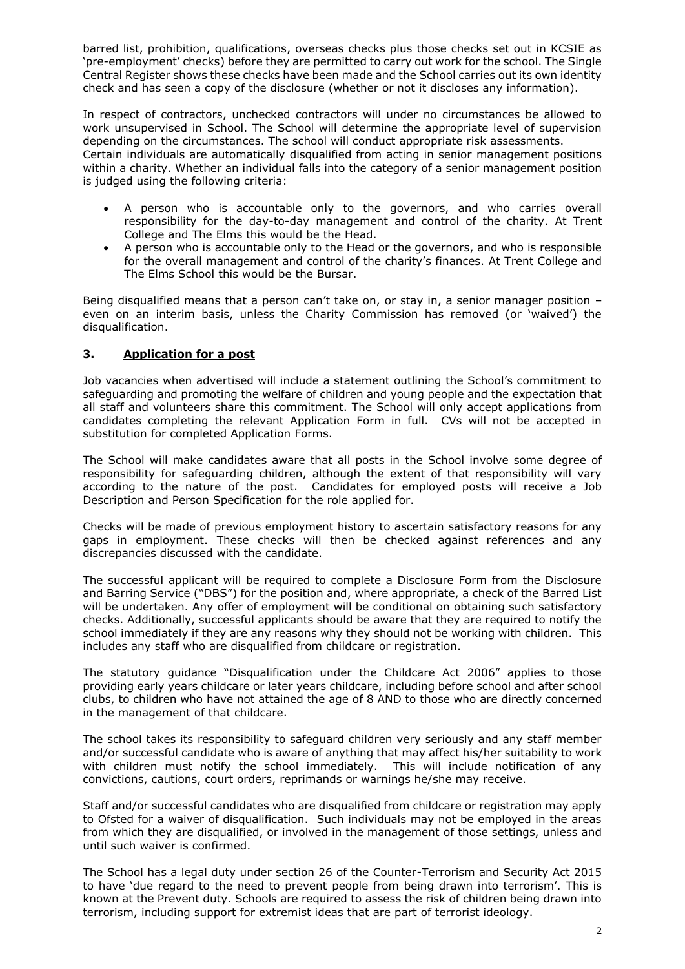barred list, prohibition, qualifications, overseas checks plus those checks set out in KCSIE as 'pre-employment' checks) before they are permitted to carry out work for the school. The Single Central Register shows these checks have been made and the School carries out its own identity check and has seen a copy of the disclosure (whether or not it discloses any information).

In respect of contractors, unchecked contractors will under no circumstances be allowed to work unsupervised in School. The School will determine the appropriate level of supervision depending on the circumstances. The school will conduct appropriate risk assessments. Certain individuals are automatically disqualified from acting in senior management positions within a charity. Whether an individual falls into the category of a senior management position is judged using the following criteria:

- A person who is accountable only to the governors, and who carries overall responsibility for the day-to-day management and control of the charity. At Trent College and The Elms this would be the Head.
- A person who is accountable only to the Head or the governors, and who is responsible for the overall management and control of the charity's finances. At Trent College and The Elms School this would be the Bursar.

Being disqualified means that a person can't take on, or stay in, a senior manager position – even on an interim basis, unless the Charity Commission has removed (or 'waived') the disqualification.

### **3. Application for a post**

Job vacancies when advertised will include a statement outlining the School's commitment to safeguarding and promoting the welfare of children and young people and the expectation that all staff and volunteers share this commitment. The School will only accept applications from candidates completing the relevant Application Form in full. CVs will not be accepted in substitution for completed Application Forms.

The School will make candidates aware that all posts in the School involve some degree of responsibility for safeguarding children, although the extent of that responsibility will vary according to the nature of the post. Candidates for employed posts will receive a Job Description and Person Specification for the role applied for.

Checks will be made of previous employment history to ascertain satisfactory reasons for any gaps in employment. These checks will then be checked against references and any discrepancies discussed with the candidate.

The successful applicant will be required to complete a Disclosure Form from the Disclosure and Barring Service ("DBS") for the position and, where appropriate, a check of the Barred List will be undertaken. Any offer of employment will be conditional on obtaining such satisfactory checks. Additionally, successful applicants should be aware that they are required to notify the school immediately if they are any reasons why they should not be working with children. This includes any staff who are disqualified from childcare or registration.

The statutory guidance "Disqualification under the Childcare Act 2006" applies to those providing early years childcare or later years childcare, including before school and after school clubs, to children who have not attained the age of 8 AND to those who are directly concerned in the management of that childcare.

The school takes its responsibility to safeguard children very seriously and any staff member and/or successful candidate who is aware of anything that may affect his/her suitability to work with children must notify the school immediately. This will include notification of any convictions, cautions, court orders, reprimands or warnings he/she may receive.

Staff and/or successful candidates who are disqualified from childcare or registration may apply to Ofsted for a waiver of disqualification. Such individuals may not be employed in the areas from which they are disqualified, or involved in the management of those settings, unless and until such waiver is confirmed.

The School has a legal duty under section 26 of the Counter-Terrorism and Security Act 2015 to have 'due regard to the need to prevent people from being drawn into terrorism'. This is known at the Prevent duty. Schools are required to assess the risk of children being drawn into terrorism, including support for extremist ideas that are part of terrorist ideology.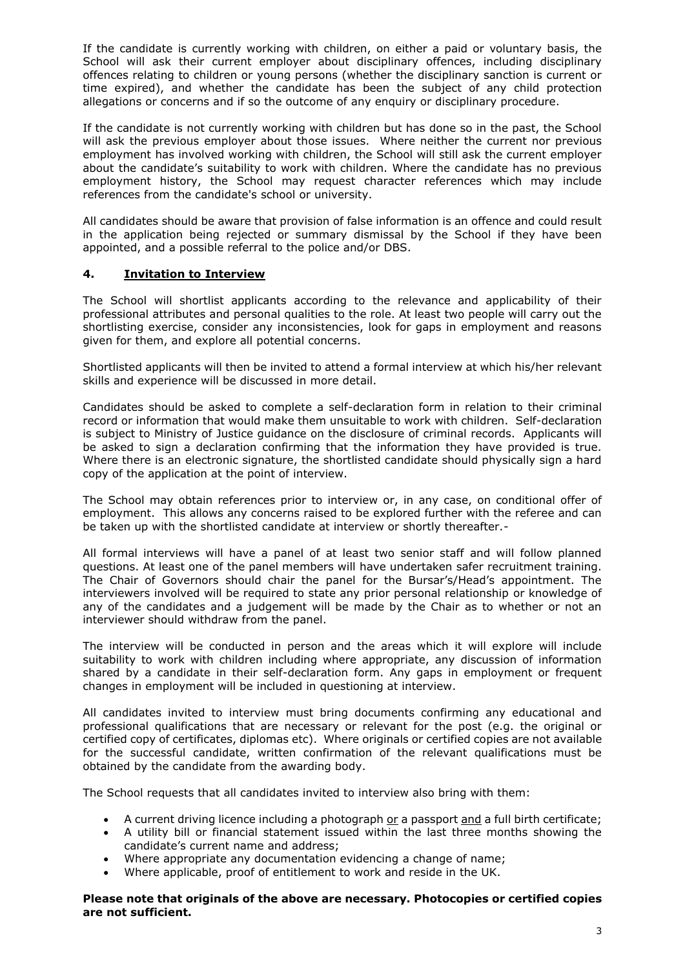If the candidate is currently working with children, on either a paid or voluntary basis, the School will ask their current employer about disciplinary offences, including disciplinary offences relating to children or young persons (whether the disciplinary sanction is current or time expired), and whether the candidate has been the subject of any child protection allegations or concerns and if so the outcome of any enquiry or disciplinary procedure.

If the candidate is not currently working with children but has done so in the past, the School will ask the previous employer about those issues. Where neither the current nor previous employment has involved working with children, the School will still ask the current employer about the candidate's suitability to work with children. Where the candidate has no previous employment history, the School may request character references which may include references from the candidate's school or university.

All candidates should be aware that provision of false information is an offence and could result in the application being rejected or summary dismissal by the School if they have been appointed, and a possible referral to the police and/or DBS.

### **4. Invitation to Interview**

The School will shortlist applicants according to the relevance and applicability of their professional attributes and personal qualities to the role. At least two people will carry out the shortlisting exercise, consider any inconsistencies, look for gaps in employment and reasons given for them, and explore all potential concerns.

Shortlisted applicants will then be invited to attend a formal interview at which his/her relevant skills and experience will be discussed in more detail.

Candidates should be asked to complete a self-declaration form in relation to their criminal record or information that would make them unsuitable to work with children. Self-declaration is subject to Ministry of Justice guidance on the disclosure of criminal records. Applicants will be asked to sign a declaration confirming that the information they have provided is true. Where there is an electronic signature, the shortlisted candidate should physically sign a hard copy of the application at the point of interview.

The School may obtain references prior to interview or, in any case, on conditional offer of employment. This allows any concerns raised to be explored further with the referee and can be taken up with the shortlisted candidate at interview or shortly thereafter.-

All formal interviews will have a panel of at least two senior staff and will follow planned questions. At least one of the panel members will have undertaken safer recruitment training. The Chair of Governors should chair the panel for the Bursar's/Head's appointment. The interviewers involved will be required to state any prior personal relationship or knowledge of any of the candidates and a judgement will be made by the Chair as to whether or not an interviewer should withdraw from the panel.

The interview will be conducted in person and the areas which it will explore will include suitability to work with children including where appropriate, any discussion of information shared by a candidate in their self-declaration form. Any gaps in employment or frequent changes in employment will be included in questioning at interview.

All candidates invited to interview must bring documents confirming any educational and professional qualifications that are necessary or relevant for the post (e.g. the original or certified copy of certificates, diplomas etc). Where originals or certified copies are not available for the successful candidate, written confirmation of the relevant qualifications must be obtained by the candidate from the awarding body.

The School requests that all candidates invited to interview also bring with them:

- A current driving licence including a photograph or a passport and a full birth certificate;
- A utility bill or financial statement issued within the last three months showing the candidate's current name and address;
- Where appropriate any documentation evidencing a change of name;
- Where applicable, proof of entitlement to work and reside in the UK.

**Please note that originals of the above are necessary. Photocopies or certified copies are not sufficient.**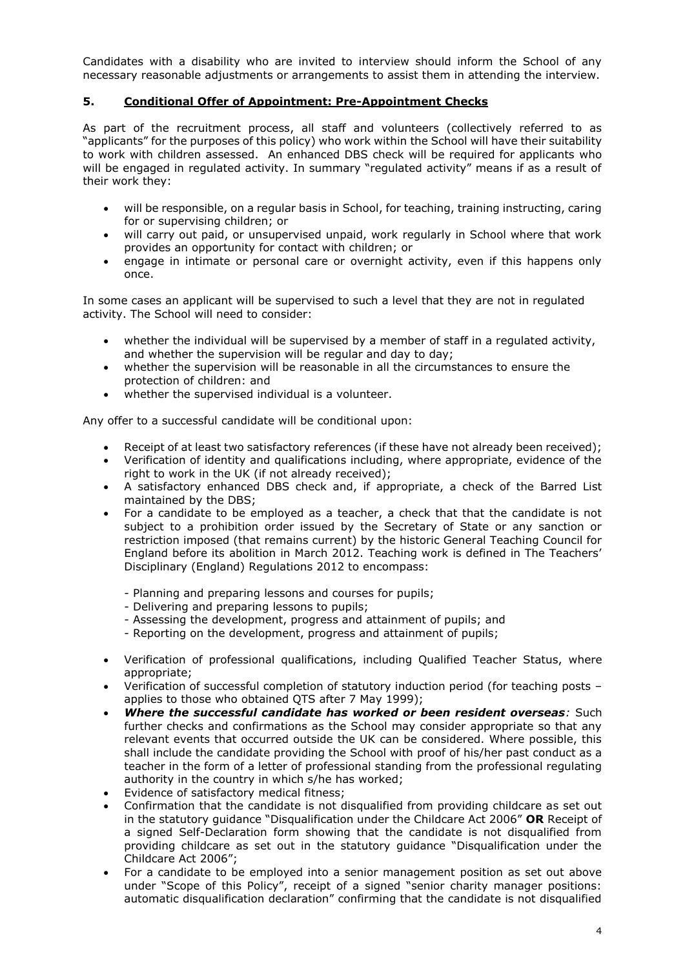Candidates with a disability who are invited to interview should inform the School of any necessary reasonable adjustments or arrangements to assist them in attending the interview.

### **5. Conditional Offer of Appointment: Pre-Appointment Checks**

As part of the recruitment process, all staff and volunteers (collectively referred to as "applicants" for the purposes of this policy) who work within the School will have their suitability to work with children assessed. An enhanced DBS check will be required for applicants who will be engaged in regulated activity. In summary "regulated activity" means if as a result of their work they:

- will be responsible, on a regular basis in School, for teaching, training instructing, caring for or supervising children; or
- will carry out paid, or unsupervised unpaid, work regularly in School where that work provides an opportunity for contact with children; or
- engage in intimate or personal care or overnight activity, even if this happens only once.

In some cases an applicant will be supervised to such a level that they are not in regulated activity. The School will need to consider:

- whether the individual will be supervised by a member of staff in a regulated activity, and whether the supervision will be regular and day to day;
- whether the supervision will be reasonable in all the circumstances to ensure the protection of children: and
- whether the supervised individual is a volunteer.

Any offer to a successful candidate will be conditional upon:

- Receipt of at least two satisfactory references (if these have not already been received);
- Verification of identity and qualifications including, where appropriate, evidence of the right to work in the UK (if not already received);
- A satisfactory enhanced DBS check and, if appropriate, a check of the Barred List maintained by the DBS;
- For a candidate to be employed as a teacher, a check that that the candidate is not subject to a prohibition order issued by the Secretary of State or any sanction or restriction imposed (that remains current) by the historic General Teaching Council for England before its abolition in March 2012. Teaching work is defined in The Teachers' Disciplinary (England) Regulations 2012 to encompass:
	- Planning and preparing lessons and courses for pupils;
	- Delivering and preparing lessons to pupils;
	- Assessing the development, progress and attainment of pupils; and
	- Reporting on the development, progress and attainment of pupils;
- Verification of professional qualifications, including Qualified Teacher Status, where appropriate;
- Verification of successful completion of statutory induction period (for teaching posts applies to those who obtained QTS after 7 May 1999);
- *Where the successful candidate has worked or been resident overseas:* Such further checks and confirmations as the School may consider appropriate so that any relevant events that occurred outside the UK can be considered. Where possible, this shall include the candidate providing the School with proof of his/her past conduct as a teacher in the form of a letter of professional standing from the professional regulating authority in the country in which s/he has worked;
- Evidence of satisfactory medical fitness;
- Confirmation that the candidate is not disqualified from providing childcare as set out in the statutory guidance "Disqualification under the Childcare Act 2006" **OR** Receipt of a signed Self-Declaration form showing that the candidate is not disqualified from providing childcare as set out in the statutory guidance "Disqualification under the Childcare Act 2006";
- For a candidate to be employed into a senior management position as set out above under "Scope of this Policy", receipt of a signed "senior charity manager positions: automatic disqualification declaration" confirming that the candidate is not disqualified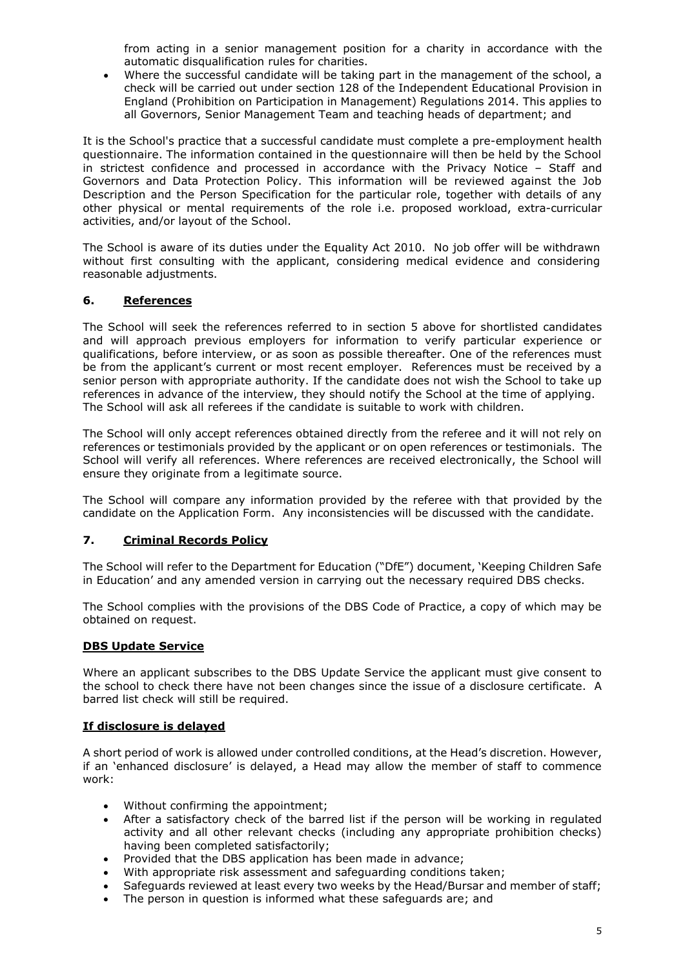from acting in a senior management position for a charity in accordance with the automatic disqualification rules for charities.

• Where the successful candidate will be taking part in the management of the school, a check will be carried out under section 128 of the Independent Educational Provision in England (Prohibition on Participation in Management) Regulations 2014. This applies to all Governors, Senior Management Team and teaching heads of department; and

It is the School's practice that a successful candidate must complete a pre-employment health questionnaire. The information contained in the questionnaire will then be held by the School in strictest confidence and processed in accordance with the Privacy Notice – Staff and Governors and Data Protection Policy. This information will be reviewed against the Job Description and the Person Specification for the particular role, together with details of any other physical or mental requirements of the role i.e. proposed workload, extra-curricular activities, and/or layout of the School.

The School is aware of its duties under the Equality Act 2010. No job offer will be withdrawn without first consulting with the applicant, considering medical evidence and considering reasonable adjustments.

### **6. References**

The School will seek the references referred to in section 5 above for shortlisted candidates and will approach previous employers for information to verify particular experience or qualifications, before interview, or as soon as possible thereafter. One of the references must be from the applicant's current or most recent employer. References must be received by a senior person with appropriate authority. If the candidate does not wish the School to take up references in advance of the interview, they should notify the School at the time of applying. The School will ask all referees if the candidate is suitable to work with children.

The School will only accept references obtained directly from the referee and it will not rely on references or testimonials provided by the applicant or on open references or testimonials. The School will verify all references. Where references are received electronically, the School will ensure they originate from a legitimate source.

The School will compare any information provided by the referee with that provided by the candidate on the Application Form. Any inconsistencies will be discussed with the candidate.

#### **7. Criminal Records Policy**

The School will refer to the Department for Education ("DfE") document, 'Keeping Children Safe in Education' and any amended version in carrying out the necessary required DBS checks.

The School complies with the provisions of the DBS Code of Practice, a copy of which may be obtained on request.

#### **DBS Update Service**

Where an applicant subscribes to the DBS Update Service the applicant must give consent to the school to check there have not been changes since the issue of a disclosure certificate. A barred list check will still be required.

#### **If disclosure is delayed**

A short period of work is allowed under controlled conditions, at the Head's discretion. However, if an 'enhanced disclosure' is delayed, a Head may allow the member of staff to commence work:

- Without confirming the appointment;<br>• After a satisfactory check of the harr
- After a satisfactory check of the barred list if the person will be working in regulated activity and all other relevant checks (including any appropriate prohibition checks) having been completed satisfactorily;
- Provided that the DBS application has been made in advance;
- With appropriate risk assessment and safeguarding conditions taken;
- Safeguards reviewed at least every two weeks by the Head/Bursar and member of staff;
- The person in question is informed what these safeguards are; and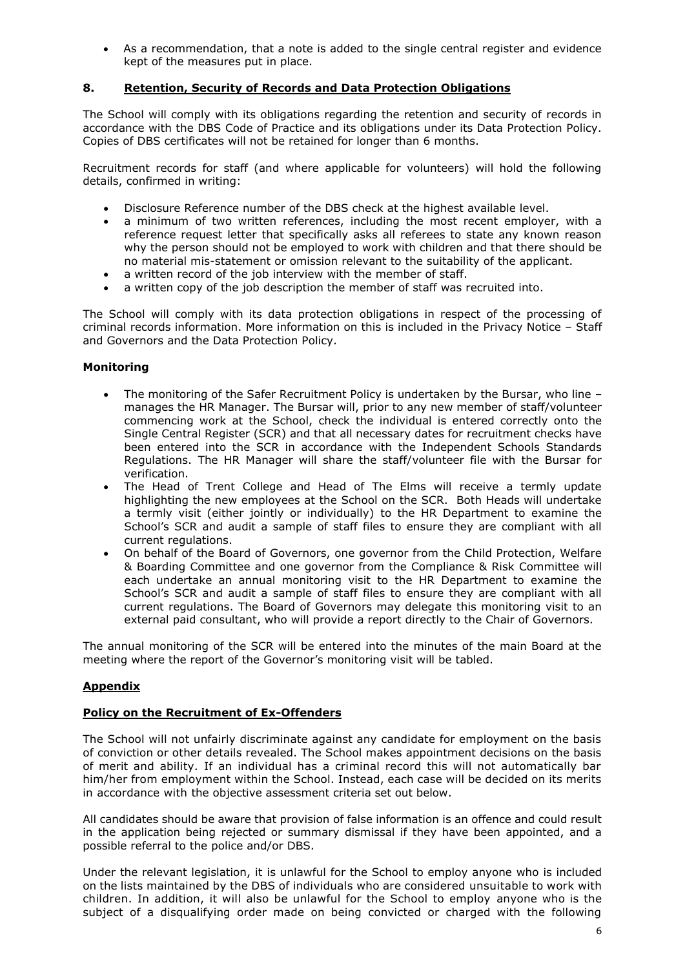• As a recommendation, that a note is added to the single central register and evidence kept of the measures put in place.

### **8. Retention, Security of Records and Data Protection Obligations**

The School will comply with its obligations regarding the retention and security of records in accordance with the DBS Code of Practice and its obligations under its Data Protection Policy. Copies of DBS certificates will not be retained for longer than 6 months.

Recruitment records for staff (and where applicable for volunteers) will hold the following details, confirmed in writing:

- Disclosure Reference number of the DBS check at the highest available level.
- a minimum of two written references, including the most recent employer, with a reference request letter that specifically asks all referees to state any known reason why the person should not be employed to work with children and that there should be no material mis-statement or omission relevant to the suitability of the applicant.
- a written record of the job interview with the member of staff.
- a written copy of the job description the member of staff was recruited into.

The School will comply with its data protection obligations in respect of the processing of criminal records information. More information on this is included in the Privacy Notice – Staff and Governors and the Data Protection Policy.

#### **Monitoring**

- The monitoring of the Safer Recruitment Policy is undertaken by the Bursar, who line manages the HR Manager. The Bursar will, prior to any new member of staff/volunteer commencing work at the School, check the individual is entered correctly onto the Single Central Register (SCR) and that all necessary dates for recruitment checks have been entered into the SCR in accordance with the Independent Schools Standards Regulations. The HR Manager will share the staff/volunteer file with the Bursar for verification.
- The Head of Trent College and Head of The Elms will receive a termly update highlighting the new employees at the School on the SCR. Both Heads will undertake a termly visit (either jointly or individually) to the HR Department to examine the School's SCR and audit a sample of staff files to ensure they are compliant with all current regulations.
- On behalf of the Board of Governors, one governor from the Child Protection, Welfare & Boarding Committee and one governor from the Compliance & Risk Committee will each undertake an annual monitoring visit to the HR Department to examine the School's SCR and audit a sample of staff files to ensure they are compliant with all current regulations. The Board of Governors may delegate this monitoring visit to an external paid consultant, who will provide a report directly to the Chair of Governors.

The annual monitoring of the SCR will be entered into the minutes of the main Board at the meeting where the report of the Governor's monitoring visit will be tabled.

## **Appendix**

#### **Policy on the Recruitment of Ex-Offenders**

The School will not unfairly discriminate against any candidate for employment on the basis of conviction or other details revealed. The School makes appointment decisions on the basis of merit and ability. If an individual has a criminal record this will not automatically bar him/her from employment within the School. Instead, each case will be decided on its merits in accordance with the objective assessment criteria set out below.

All candidates should be aware that provision of false information is an offence and could result in the application being rejected or summary dismissal if they have been appointed, and a possible referral to the police and/or DBS.

Under the relevant legislation, it is unlawful for the School to employ anyone who is included on the lists maintained by the DBS of individuals who are considered unsuitable to work with children. In addition, it will also be unlawful for the School to employ anyone who is the subject of a disqualifying order made on being convicted or charged with the following